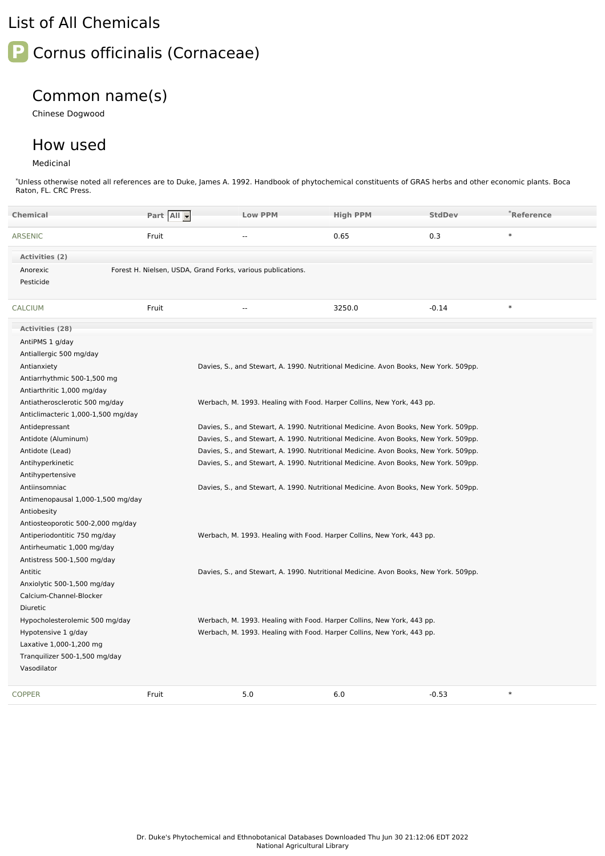## List of All Chemicals



## Common name(s)

Chinese Dogwood

## How used

Medicinal

\*Unless otherwise noted all references are to Duke, James A. 1992. Handbook of phytochemical constituents of GRAS herbs and other economic plants. Boca Raton, FL. CRC Press.

| <b>Chemical</b>                    | Part All - | <b>Low PPM</b>                                                                       | <b>High PPM</b> | <b>StdDev</b> | *Reference |
|------------------------------------|------------|--------------------------------------------------------------------------------------|-----------------|---------------|------------|
| <b>ARSENIC</b>                     | Fruit      | $\overline{a}$                                                                       | 0.65            | 0.3           | $\ast$     |
| Activities (2)                     |            |                                                                                      |                 |               |            |
| Anorexic                           |            | Forest H. Nielsen, USDA, Grand Forks, various publications.                          |                 |               |            |
| Pesticide                          |            |                                                                                      |                 |               |            |
| <b>CALCIUM</b>                     | Fruit      | $\overline{a}$                                                                       | 3250.0          | $-0.14$       | $\ast$     |
| <b>Activities (28)</b>             |            |                                                                                      |                 |               |            |
| AntiPMS 1 g/day                    |            |                                                                                      |                 |               |            |
| Antiallergic 500 mg/day            |            |                                                                                      |                 |               |            |
| Antianxiety                        |            | Davies, S., and Stewart, A. 1990. Nutritional Medicine. Avon Books, New York. 509pp. |                 |               |            |
| Antiarrhythmic 500-1,500 mg        |            |                                                                                      |                 |               |            |
| Antiarthritic 1,000 mg/day         |            |                                                                                      |                 |               |            |
| Antiatherosclerotic 500 mg/day     |            | Werbach, M. 1993. Healing with Food. Harper Collins, New York, 443 pp.               |                 |               |            |
| Anticlimacteric 1,000-1,500 mg/day |            |                                                                                      |                 |               |            |
| Antidepressant                     |            | Davies, S., and Stewart, A. 1990. Nutritional Medicine. Avon Books, New York. 509pp. |                 |               |            |
| Antidote (Aluminum)                |            | Davies, S., and Stewart, A. 1990. Nutritional Medicine. Avon Books, New York. 509pp. |                 |               |            |
| Antidote (Lead)                    |            | Davies, S., and Stewart, A. 1990. Nutritional Medicine. Avon Books, New York. 509pp. |                 |               |            |
| Antihyperkinetic                   |            | Davies, S., and Stewart, A. 1990. Nutritional Medicine. Avon Books, New York. 509pp. |                 |               |            |
| Antihypertensive                   |            |                                                                                      |                 |               |            |
| Antiinsomniac                      |            | Davies, S., and Stewart, A. 1990. Nutritional Medicine. Avon Books, New York. 509pp. |                 |               |            |
| Antimenopausal 1,000-1,500 mg/day  |            |                                                                                      |                 |               |            |
| Antiobesity                        |            |                                                                                      |                 |               |            |
| Antiosteoporotic 500-2,000 mg/day  |            |                                                                                      |                 |               |            |
| Antiperiodontitic 750 mg/day       |            | Werbach, M. 1993. Healing with Food. Harper Collins, New York, 443 pp.               |                 |               |            |
| Antirheumatic 1,000 mg/day         |            |                                                                                      |                 |               |            |
| Antistress 500-1,500 mg/day        |            |                                                                                      |                 |               |            |
| Antitic                            |            | Davies, S., and Stewart, A. 1990. Nutritional Medicine. Avon Books, New York. 509pp. |                 |               |            |
| Anxiolytic 500-1,500 mg/day        |            |                                                                                      |                 |               |            |
| Calcium-Channel-Blocker            |            |                                                                                      |                 |               |            |
| Diuretic                           |            |                                                                                      |                 |               |            |
| Hypocholesterolemic 500 mg/day     |            | Werbach, M. 1993. Healing with Food. Harper Collins, New York, 443 pp.               |                 |               |            |
| Hypotensive 1 g/day                |            | Werbach, M. 1993. Healing with Food. Harper Collins, New York, 443 pp.               |                 |               |            |
| Laxative 1,000-1,200 mg            |            |                                                                                      |                 |               |            |
| Tranquilizer 500-1,500 mg/day      |            |                                                                                      |                 |               |            |
| Vasodilator                        |            |                                                                                      |                 |               |            |
| <b>COPPER</b>                      | Fruit      | 5.0                                                                                  | 6.0             | $-0.53$       | $\ast$     |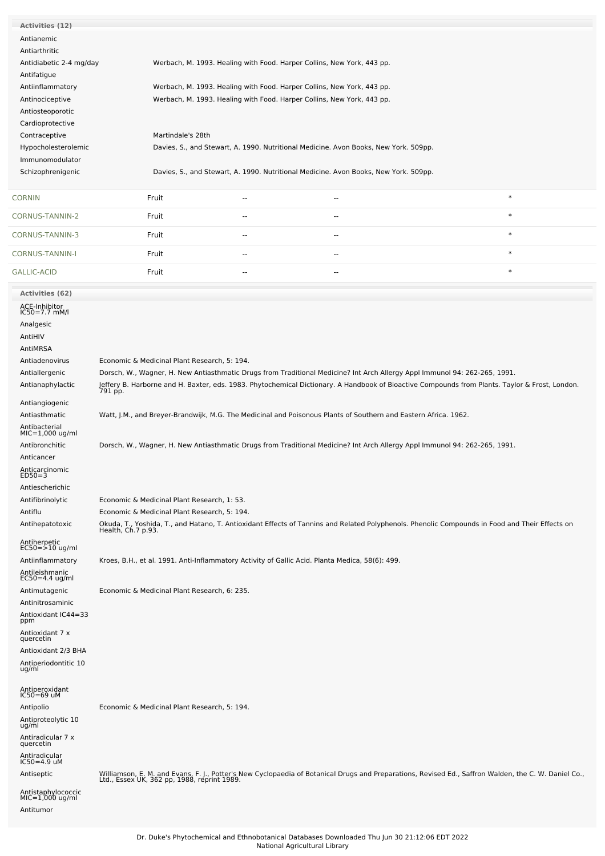| <b>Activities (12)</b>                    |                                                                                                                 |                                                                                      |                                                                                      |                                                                                                                                                                                                     |  |  |  |
|-------------------------------------------|-----------------------------------------------------------------------------------------------------------------|--------------------------------------------------------------------------------------|--------------------------------------------------------------------------------------|-----------------------------------------------------------------------------------------------------------------------------------------------------------------------------------------------------|--|--|--|
| Antianemic                                |                                                                                                                 |                                                                                      |                                                                                      |                                                                                                                                                                                                     |  |  |  |
| Antiarthritic                             |                                                                                                                 |                                                                                      |                                                                                      |                                                                                                                                                                                                     |  |  |  |
| Antidiabetic 2-4 mg/day                   |                                                                                                                 |                                                                                      |                                                                                      |                                                                                                                                                                                                     |  |  |  |
|                                           | Werbach, M. 1993. Healing with Food. Harper Collins, New York, 443 pp.                                          |                                                                                      |                                                                                      |                                                                                                                                                                                                     |  |  |  |
| Antifatigue                               |                                                                                                                 |                                                                                      |                                                                                      |                                                                                                                                                                                                     |  |  |  |
| Antiinflammatory                          | Werbach, M. 1993. Healing with Food. Harper Collins, New York, 443 pp.                                          |                                                                                      |                                                                                      |                                                                                                                                                                                                     |  |  |  |
| Antinociceptive                           |                                                                                                                 | Werbach, M. 1993. Healing with Food. Harper Collins, New York, 443 pp.               |                                                                                      |                                                                                                                                                                                                     |  |  |  |
| Antiosteoporotic                          |                                                                                                                 |                                                                                      |                                                                                      |                                                                                                                                                                                                     |  |  |  |
| Cardioprotective                          |                                                                                                                 |                                                                                      |                                                                                      |                                                                                                                                                                                                     |  |  |  |
| Contraceptive                             | Martindale's 28th                                                                                               |                                                                                      |                                                                                      |                                                                                                                                                                                                     |  |  |  |
| Hypocholesterolemic                       |                                                                                                                 | Davies, S., and Stewart, A. 1990. Nutritional Medicine. Avon Books, New York. 509pp. |                                                                                      |                                                                                                                                                                                                     |  |  |  |
| Immunomodulator                           |                                                                                                                 |                                                                                      |                                                                                      |                                                                                                                                                                                                     |  |  |  |
| Schizophrenigenic                         |                                                                                                                 |                                                                                      | Davies, S., and Stewart, A. 1990. Nutritional Medicine. Avon Books, New York. 509pp. |                                                                                                                                                                                                     |  |  |  |
|                                           |                                                                                                                 |                                                                                      |                                                                                      |                                                                                                                                                                                                     |  |  |  |
| <b>CORNIN</b>                             | Fruit                                                                                                           | ۰.                                                                                   | н.                                                                                   | $\ast$                                                                                                                                                                                              |  |  |  |
| CORNUS-TANNIN-2                           | Fruit                                                                                                           | $-$                                                                                  | $\overline{\phantom{a}}$                                                             | $\ast$                                                                                                                                                                                              |  |  |  |
| CORNUS-TANNIN-3                           | Fruit                                                                                                           | --                                                                                   | --                                                                                   | $\ast$                                                                                                                                                                                              |  |  |  |
| <b>CORNUS-TANNIN-I</b>                    | Fruit                                                                                                           | --                                                                                   | $\sim$                                                                               | $\ast$                                                                                                                                                                                              |  |  |  |
| <b>GALLIC-ACID</b>                        | Fruit                                                                                                           | --                                                                                   | $\sim$                                                                               | $\ast$                                                                                                                                                                                              |  |  |  |
| Activities (62)                           |                                                                                                                 |                                                                                      |                                                                                      |                                                                                                                                                                                                     |  |  |  |
| ACE-Inhibitor<br>$IC50 = 7.7$ mM/l        |                                                                                                                 |                                                                                      |                                                                                      |                                                                                                                                                                                                     |  |  |  |
|                                           |                                                                                                                 |                                                                                      |                                                                                      |                                                                                                                                                                                                     |  |  |  |
| Analgesic                                 |                                                                                                                 |                                                                                      |                                                                                      |                                                                                                                                                                                                     |  |  |  |
| AntiHIV                                   |                                                                                                                 |                                                                                      |                                                                                      |                                                                                                                                                                                                     |  |  |  |
| AntiMRSA                                  |                                                                                                                 |                                                                                      |                                                                                      |                                                                                                                                                                                                     |  |  |  |
| Antiadenovirus                            | Economic & Medicinal Plant Research, 5: 194.                                                                    |                                                                                      |                                                                                      |                                                                                                                                                                                                     |  |  |  |
| Antiallergenic                            |                                                                                                                 |                                                                                      |                                                                                      | Dorsch, W., Wagner, H. New Antiasthmatic Drugs from Traditional Medicine? Int Arch Allergy Appl Immunol 94: 262-265, 1991.                                                                          |  |  |  |
| Antianaphylactic                          |                                                                                                                 |                                                                                      |                                                                                      | Jeffery B. Harborne and H. Baxter, eds. 1983. Phytochemical Dictionary. A Handbook of Bioactive Compounds from Plants. Taylor & Frost, London.<br>791 pp.                                           |  |  |  |
| Antiangiogenic                            |                                                                                                                 |                                                                                      |                                                                                      |                                                                                                                                                                                                     |  |  |  |
| Antiasthmatic                             | Watt, J.M., and Breyer-Brandwijk, M.G. The Medicinal and Poisonous Plants of Southern and Eastern Africa. 1962. |                                                                                      |                                                                                      |                                                                                                                                                                                                     |  |  |  |
| Antibacterial                             |                                                                                                                 |                                                                                      |                                                                                      |                                                                                                                                                                                                     |  |  |  |
| $MIC=1,000$ ug/ml                         |                                                                                                                 |                                                                                      |                                                                                      |                                                                                                                                                                                                     |  |  |  |
| Antibronchitic                            |                                                                                                                 |                                                                                      |                                                                                      | Dorsch, W., Wagner, H. New Antiasthmatic Drugs from Traditional Medicine? Int Arch Allergy Appl Immunol 94: 262-265, 1991.                                                                          |  |  |  |
| Anticancer                                |                                                                                                                 |                                                                                      |                                                                                      |                                                                                                                                                                                                     |  |  |  |
| Anticarcinomic                            |                                                                                                                 |                                                                                      |                                                                                      |                                                                                                                                                                                                     |  |  |  |
| ヒレコリーシ                                    |                                                                                                                 |                                                                                      |                                                                                      |                                                                                                                                                                                                     |  |  |  |
| Antiescherichic                           |                                                                                                                 |                                                                                      |                                                                                      |                                                                                                                                                                                                     |  |  |  |
| Antifibrinolytic                          | Economic & Medicinal Plant Research, 1: 53.                                                                     |                                                                                      |                                                                                      |                                                                                                                                                                                                     |  |  |  |
| Antiflu                                   | Economic & Medicinal Plant Research, 5: 194.                                                                    |                                                                                      |                                                                                      |                                                                                                                                                                                                     |  |  |  |
| Antihepatotoxic                           |                                                                                                                 |                                                                                      |                                                                                      | Okuda, T., Yoshida, T., and Hatano, T. Antioxidant Effects of Tannins and Related Polyphenols. Phenolic Compounds in Food and Their Effects on<br>Health, Ch.7 p.93.                                |  |  |  |
| Antiherpetic<br>EC50=>10 ug/ml            |                                                                                                                 |                                                                                      |                                                                                      |                                                                                                                                                                                                     |  |  |  |
| Antiinflammatory                          | Kroes, B.H., et al. 1991. Anti-Inflammatory Activity of Gallic Acid. Planta Medica, 58(6): 499.                 |                                                                                      |                                                                                      |                                                                                                                                                                                                     |  |  |  |
| Antileishmanic<br>EC50=4.4 ug/ml          |                                                                                                                 |                                                                                      |                                                                                      |                                                                                                                                                                                                     |  |  |  |
|                                           |                                                                                                                 |                                                                                      |                                                                                      |                                                                                                                                                                                                     |  |  |  |
| Antimutagenic                             | Economic & Medicinal Plant Research, 6: 235.                                                                    |                                                                                      |                                                                                      |                                                                                                                                                                                                     |  |  |  |
| Antinitrosaminic                          |                                                                                                                 |                                                                                      |                                                                                      |                                                                                                                                                                                                     |  |  |  |
| Antioxidant IC44=33<br>ppm                |                                                                                                                 |                                                                                      |                                                                                      |                                                                                                                                                                                                     |  |  |  |
| Antioxidant 7 x                           |                                                                                                                 |                                                                                      |                                                                                      |                                                                                                                                                                                                     |  |  |  |
| quercetin                                 |                                                                                                                 |                                                                                      |                                                                                      |                                                                                                                                                                                                     |  |  |  |
| Antioxidant 2/3 BHA                       |                                                                                                                 |                                                                                      |                                                                                      |                                                                                                                                                                                                     |  |  |  |
| Antiperiodontitic 10                      |                                                                                                                 |                                                                                      |                                                                                      |                                                                                                                                                                                                     |  |  |  |
| ug/ml                                     |                                                                                                                 |                                                                                      |                                                                                      |                                                                                                                                                                                                     |  |  |  |
| Antiperoxidant<br>IC50=69 uM              |                                                                                                                 |                                                                                      |                                                                                      |                                                                                                                                                                                                     |  |  |  |
| Antipolio                                 | Economic & Medicinal Plant Research, 5: 194.                                                                    |                                                                                      |                                                                                      |                                                                                                                                                                                                     |  |  |  |
| Antiproteolytic 10<br>ug/ml               |                                                                                                                 |                                                                                      |                                                                                      |                                                                                                                                                                                                     |  |  |  |
| Antiradicular 7 x                         |                                                                                                                 |                                                                                      |                                                                                      |                                                                                                                                                                                                     |  |  |  |
| quercetin<br>Antiradicular<br>IC50=4.9 uM |                                                                                                                 |                                                                                      |                                                                                      |                                                                                                                                                                                                     |  |  |  |
|                                           |                                                                                                                 |                                                                                      |                                                                                      |                                                                                                                                                                                                     |  |  |  |
| Antiseptic                                |                                                                                                                 |                                                                                      |                                                                                      | Williamson, E. M. and Evans, F. J., Potter's New Cyclopaedia of Botanical Drugs and Preparations, Revised Ed., Saffron Walden, the C. W. Daniel Co.,<br>Ltd., Essex UK, 362 pp, 1988, reprint 1989. |  |  |  |
| Antistaphylococcic<br>MIC=1,000 ug/ml     |                                                                                                                 |                                                                                      |                                                                                      |                                                                                                                                                                                                     |  |  |  |
| Antitumor                                 |                                                                                                                 |                                                                                      |                                                                                      |                                                                                                                                                                                                     |  |  |  |
|                                           |                                                                                                                 |                                                                                      |                                                                                      |                                                                                                                                                                                                     |  |  |  |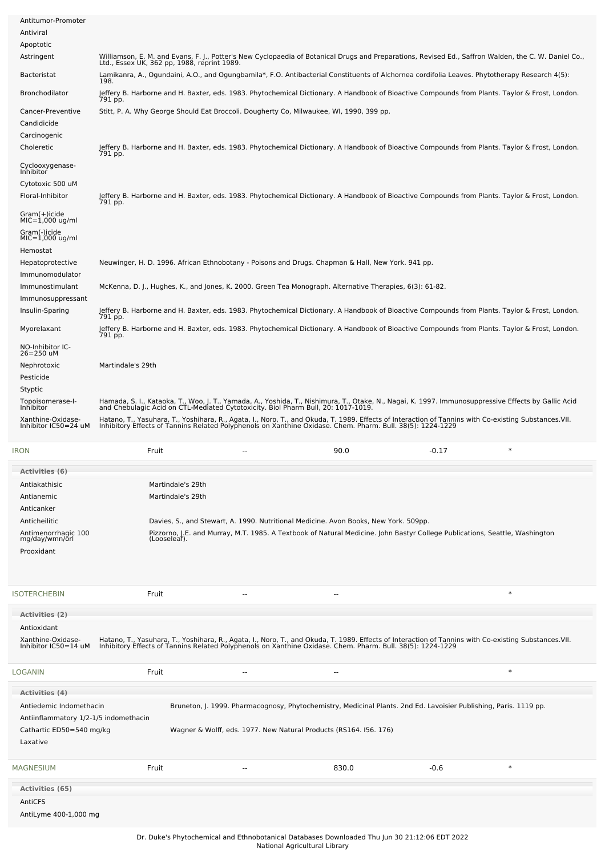| Antitumor-Promoter<br>Antiviral                  |                                                                                                                                                                                                                                   |    |                                                                                                                                                                                                                     |         |        |
|--------------------------------------------------|-----------------------------------------------------------------------------------------------------------------------------------------------------------------------------------------------------------------------------------|----|---------------------------------------------------------------------------------------------------------------------------------------------------------------------------------------------------------------------|---------|--------|
| Apoptotic                                        |                                                                                                                                                                                                                                   |    |                                                                                                                                                                                                                     |         |        |
| Astringent                                       | Williamson, E. M. and Evans, F. J., Potter's New Cyclopaedia of Botanical Drugs and Preparations, Revised Ed., Saffron Walden, the C. W. Daniel Co.,<br>Ltd., Essex UK, 362 pp, 1988, reprint 1989.                               |    |                                                                                                                                                                                                                     |         |        |
| <b>Bacteristat</b>                               | Lamikanra, A., Ogundaini, A.O., and Ogungbamila*, F.O. Antibacterial Constituents of Alchornea cordifolia Leaves. Phytotherapy Research 4(5):<br>198.                                                                             |    |                                                                                                                                                                                                                     |         |        |
| Bronchodilator                                   | Jeffery B. Harborne and H. Baxter, eds. 1983. Phytochemical Dictionary. A Handbook of Bioactive Compounds from Plants. Taylor & Frost, London.<br>791 pp.                                                                         |    |                                                                                                                                                                                                                     |         |        |
| Cancer-Preventive                                | Stitt, P. A. Why George Should Eat Broccoli. Dougherty Co, Milwaukee, WI, 1990, 399 pp.                                                                                                                                           |    |                                                                                                                                                                                                                     |         |        |
| Candidicide                                      |                                                                                                                                                                                                                                   |    |                                                                                                                                                                                                                     |         |        |
| Carcinogenic<br>Choleretic                       | Jeffery B. Harborne and H. Baxter, eds. 1983. Phytochemical Dictionary. A Handbook of Bioactive Compounds from Plants. Taylor & Frost, London.                                                                                    |    |                                                                                                                                                                                                                     |         |        |
| Cyclooxygenase-                                  | 791 pp.                                                                                                                                                                                                                           |    |                                                                                                                                                                                                                     |         |        |
| Inhibitor<br>Cytotoxic 500 uM                    |                                                                                                                                                                                                                                   |    |                                                                                                                                                                                                                     |         |        |
| Floral-Inhibitor                                 | Jeffery B. Harborne and H. Baxter, eds. 1983. Phytochemical Dictionary. A Handbook of Bioactive Compounds from Plants. Taylor & Frost, London.<br>791 pp.                                                                         |    |                                                                                                                                                                                                                     |         |        |
| Gram(+)icide<br>$MIC = 1,000$ ug/ml              |                                                                                                                                                                                                                                   |    |                                                                                                                                                                                                                     |         |        |
| Gram(-)icide<br>$MIC=1,000$ ug/ml                |                                                                                                                                                                                                                                   |    |                                                                                                                                                                                                                     |         |        |
| Hemostat                                         |                                                                                                                                                                                                                                   |    |                                                                                                                                                                                                                     |         |        |
| Hepatoprotective                                 | Neuwinger, H. D. 1996. African Ethnobotany - Poisons and Drugs. Chapman & Hall, New York. 941 pp.                                                                                                                                 |    |                                                                                                                                                                                                                     |         |        |
| Immunomodulator<br>Immunostimulant               | McKenna, D. J., Hughes, K., and Jones, K. 2000. Green Tea Monograph. Alternative Therapies, 6(3): 61-82.                                                                                                                          |    |                                                                                                                                                                                                                     |         |        |
| Immunosuppressant                                |                                                                                                                                                                                                                                   |    |                                                                                                                                                                                                                     |         |        |
| Insulin-Sparing                                  | Jeffery B. Harborne and H. Baxter, eds. 1983. Phytochemical Dictionary. A Handbook of Bioactive Compounds from Plants. Taylor & Frost, London.<br>791 pp.                                                                         |    |                                                                                                                                                                                                                     |         |        |
| Myorelaxant                                      | Jeffery B. Harborne and H. Baxter, eds. 1983. Phytochemical Dictionary. A Handbook of Bioactive Compounds from Plants. Taylor & Frost, London.<br>791 pp.                                                                         |    |                                                                                                                                                                                                                     |         |        |
| NO-Inhibitor IC-<br>26=250 uM                    |                                                                                                                                                                                                                                   |    |                                                                                                                                                                                                                     |         |        |
| Nephrotoxic                                      | Martindale's 29th                                                                                                                                                                                                                 |    |                                                                                                                                                                                                                     |         |        |
| Pesticide<br>Styptic                             |                                                                                                                                                                                                                                   |    |                                                                                                                                                                                                                     |         |        |
| Topoisomerase-I-<br>Inhibitor                    | Hamada, S. I., Kataoka, T., Woo, J. T., Yamada, A., Yoshida, T., Nishimura, T., Otake, N., Nagai, K. 1997. Immunosuppressive Effects by Gallic Acid<br>and Chebulagic Acid on CTL-Mediated Cytotoxicity. Biol Pharm Bull, 20: 101 |    |                                                                                                                                                                                                                     |         |        |
| Xanthine-Oxidase-<br>Inhibitor IC50=24 uM        | Hatano, T., Yasuhara, T., Yoshihara, R., Agata, I., Noro, T., and Okuda, T. 1989. Effects of Interaction of Tannins with Co-existing Substances.VII.<br>Inhibitory Effects of Tannins Related Polyphenols on Xanthine Oxidase. Ch |    |                                                                                                                                                                                                                     |         |        |
|                                                  |                                                                                                                                                                                                                                   |    |                                                                                                                                                                                                                     |         | $\ast$ |
| iron                                             | Fruit                                                                                                                                                                                                                             | -- | 90.0                                                                                                                                                                                                                | $-0.17$ |        |
| Activities (6)<br>Antiakathisic                  | Martindale's 29th                                                                                                                                                                                                                 |    |                                                                                                                                                                                                                     |         |        |
| Antianemic                                       | Martindale's 29th                                                                                                                                                                                                                 |    |                                                                                                                                                                                                                     |         |        |
| Anticanker                                       |                                                                                                                                                                                                                                   |    |                                                                                                                                                                                                                     |         |        |
| Anticheilitic<br>Antimenorrhagic 100             |                                                                                                                                                                                                                                   |    | Davies, S., and Stewart, A. 1990. Nutritional Medicine. Avon Books, New York. 509pp.<br>Pizzorno, J.E. and Murray, M.T. 1985. A Textbook of Natural Medicine. John Bastyr College Publications, Seattle, Washington |         |        |
| mg/day/wmn/orl<br>Prooxidant                     | (Looseleaf).                                                                                                                                                                                                                      |    |                                                                                                                                                                                                                     |         |        |
|                                                  |                                                                                                                                                                                                                                   |    |                                                                                                                                                                                                                     |         |        |
|                                                  |                                                                                                                                                                                                                                   |    |                                                                                                                                                                                                                     |         |        |
| <b>SOTERCHEBIN</b>                               | Fruit                                                                                                                                                                                                                             |    | $\overline{\phantom{a}}$                                                                                                                                                                                            |         | $\ast$ |
| <b>Activities (2)</b><br>Antioxidant             |                                                                                                                                                                                                                                   |    |                                                                                                                                                                                                                     |         |        |
| Xanthine-Oxidase-<br>Inhibitor IC50=14 uM        | Hatano, T., Yasuhara, T., Yoshihara, R., Agata, I., Noro, T., and Okuda, T. 1989. Effects of Interaction of Tannins with Co-existing Substances.VII.<br>Inhibitory Effects of Tannins Related Polyphenols on Xanthine Oxidase. Ch |    |                                                                                                                                                                                                                     |         |        |
|                                                  | Fruit                                                                                                                                                                                                                             |    |                                                                                                                                                                                                                     |         | $\ast$ |
| .OGANIN                                          |                                                                                                                                                                                                                                   |    | н,                                                                                                                                                                                                                  |         |        |
| <b>Activities (4)</b><br>Antiedemic Indomethacin |                                                                                                                                                                                                                                   |    | Bruneton, J. 1999. Pharmacognosy, Phytochemistry, Medicinal Plants. 2nd Ed. Lavoisier Publishing, Paris. 1119 pp.                                                                                                   |         |        |
| Antiinflammatory 1/2-1/5 indomethacin            |                                                                                                                                                                                                                                   |    |                                                                                                                                                                                                                     |         |        |
| Cathartic ED50=540 mg/kg                         |                                                                                                                                                                                                                                   |    | Wagner & Wolff, eds. 1977. New Natural Products (RS164. 156. 176)                                                                                                                                                   |         |        |
| Laxative                                         |                                                                                                                                                                                                                                   |    |                                                                                                                                                                                                                     |         |        |
| MAGNESIUM                                        | Fruit                                                                                                                                                                                                                             | -- | 830.0                                                                                                                                                                                                               | $-0.6$  | $\ast$ |
| <b>Activities (65)</b>                           |                                                                                                                                                                                                                                   |    |                                                                                                                                                                                                                     |         |        |
| AntiCFS                                          |                                                                                                                                                                                                                                   |    |                                                                                                                                                                                                                     |         |        |
| AntiLyme 400-1,000 mg                            |                                                                                                                                                                                                                                   |    |                                                                                                                                                                                                                     |         |        |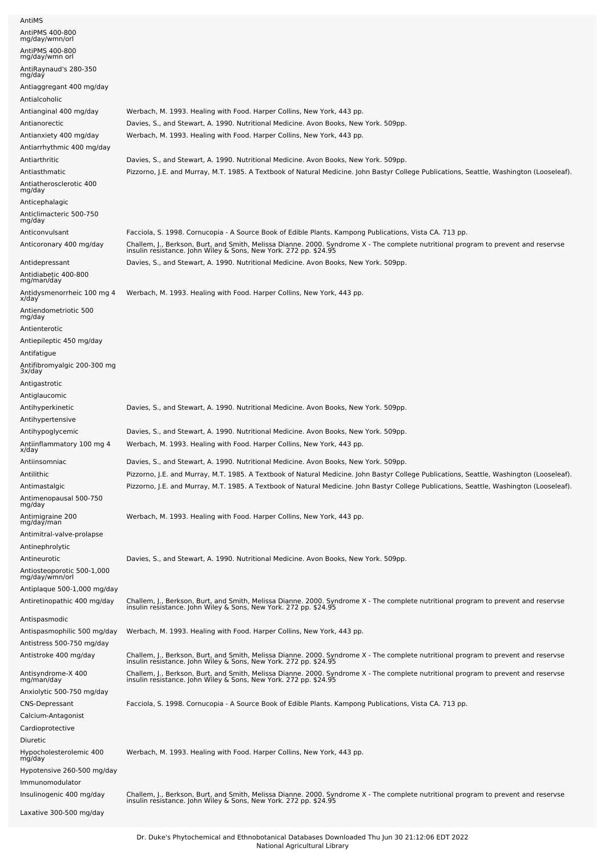| AntiMS                                       |                                                                                                                                                                                                        |
|----------------------------------------------|--------------------------------------------------------------------------------------------------------------------------------------------------------------------------------------------------------|
| AntiPMS 400-800<br>mg/day/wmn/orl            |                                                                                                                                                                                                        |
| AntiPMS 400-800                              |                                                                                                                                                                                                        |
| mg/day/wmn orl                               |                                                                                                                                                                                                        |
| AntiRaynaud's 280-350<br>mg/day              |                                                                                                                                                                                                        |
| Antiaggregant 400 mg/day                     |                                                                                                                                                                                                        |
| Antialcoholic                                |                                                                                                                                                                                                        |
| Antianginal 400 mg/day                       | Werbach, M. 1993. Healing with Food. Harper Collins, New York, 443 pp.                                                                                                                                 |
| Antianorectic                                | Davies, S., and Stewart, A. 1990. Nutritional Medicine. Avon Books, New York. 509pp.                                                                                                                   |
| Antianxiety 400 mg/day                       | Werbach, M. 1993. Healing with Food. Harper Collins, New York, 443 pp.                                                                                                                                 |
| Antiarrhythmic 400 mg/day                    |                                                                                                                                                                                                        |
| Antiarthritic                                | Davies, S., and Stewart, A. 1990. Nutritional Medicine. Avon Books, New York. 509pp.                                                                                                                   |
| Antiasthmatic                                | Pizzorno, J.E. and Murray, M.T. 1985. A Textbook of Natural Medicine. John Bastyr College Publications, Seattle, Washington (Looseleaf).                                                               |
| Antiatherosclerotic 400<br>mg/day            |                                                                                                                                                                                                        |
| Anticephalagic                               |                                                                                                                                                                                                        |
| Anticlimacteric 500-750                      |                                                                                                                                                                                                        |
| mg/day<br>Anticonvulsant                     | Facciola, S. 1998. Cornucopia - A Source Book of Edible Plants. Kampong Publications, Vista CA. 713 pp.                                                                                                |
| Anticoronary 400 mg/day                      |                                                                                                                                                                                                        |
|                                              | Challem, J., Berkson, Burt, and Smith, Melissa Dianne. 2000. Syndrome X - The complete nutritional program to prevent and reservse<br>insulin resistance. John Wiley & Sons, New York. 272 pp. \$24.95 |
| Antidepressant                               | Davies, S., and Stewart, A. 1990. Nutritional Medicine. Avon Books, New York. 509pp.                                                                                                                   |
| Antidiabetic 400-800<br>mg/man/day           |                                                                                                                                                                                                        |
| Antidysmenorrheic 100 mg 4<br>x/day          | Werbach, M. 1993. Healing with Food. Harper Collins, New York, 443 pp.                                                                                                                                 |
| Antiendometriotic 500<br>mg/day              |                                                                                                                                                                                                        |
| Antienterotic                                |                                                                                                                                                                                                        |
| Antiepileptic 450 mg/day                     |                                                                                                                                                                                                        |
| Antifatigue                                  |                                                                                                                                                                                                        |
| Antifibromyalgic 200-300 mg<br>3x/day        |                                                                                                                                                                                                        |
| Antigastrotic                                |                                                                                                                                                                                                        |
| Antiglaucomic                                |                                                                                                                                                                                                        |
| Antihyperkinetic                             | Davies, S., and Stewart, A. 1990. Nutritional Medicine. Avon Books, New York. 509pp.                                                                                                                   |
| Antihypertensive                             |                                                                                                                                                                                                        |
| Antihypoglycemic                             | Davies, S., and Stewart, A. 1990. Nutritional Medicine. Avon Books, New York. 509pp.                                                                                                                   |
| Antiinflammatory 100 mg 4                    | Werbach, M. 1993. Healing with Food. Harper Collins, New York, 443 pp.                                                                                                                                 |
| x/day<br>Antiinsomniac                       | Davies, S., and Stewart, A. 1990. Nutritional Medicine. Avon Books, New York. 509pp.                                                                                                                   |
| Antilithic                                   | Pizzorno, J.E. and Murray, M.T. 1985. A Textbook of Natural Medicine. John Bastyr College Publications, Seattle, Washington (Looseleaf).                                                               |
| Antimastalgic                                | Pizzorno, J.E. and Murray, M.T. 1985. A Textbook of Natural Medicine. John Bastyr College Publications, Seattle, Washington (Looseleaf).                                                               |
| Antimenopausal 500-750                       |                                                                                                                                                                                                        |
| mg/day                                       |                                                                                                                                                                                                        |
| Antimigraine 200<br>mg/daỹ/man               | Werbach, M. 1993. Healing with Food. Harper Collins, New York, 443 pp.                                                                                                                                 |
| Antimitral-valve-prolapse                    |                                                                                                                                                                                                        |
| Antinephrolytic                              |                                                                                                                                                                                                        |
| Antineurotic                                 | Davies, S., and Stewart, A. 1990. Nutritional Medicine. Avon Books, New York. 509pp.                                                                                                                   |
| Antiosteoporotic 500-1,000<br>mg/day/wmn/orl |                                                                                                                                                                                                        |
| Antiplaque 500-1,000 mg/day                  |                                                                                                                                                                                                        |
| Antiretinopathic 400 mg/day                  | Challem, J., Berkson, Burt, and Smith, Melissa Dianne. 2000. Syndrome X - The complete nutritional program to prevent and reservse<br>insulin resistance. John Wiley & Sons, New York. 272 pp. \$24.95 |
|                                              |                                                                                                                                                                                                        |
| Antispasmodic<br>Antispasmophilic 500 mg/day | Werbach, M. 1993. Healing with Food. Harper Collins, New York, 443 pp.                                                                                                                                 |
| Antistress 500-750 mg/day                    |                                                                                                                                                                                                        |
| Antistroke 400 mg/day                        |                                                                                                                                                                                                        |
|                                              | Challem, J., Berkson, Burt, and Smith, Melissa Dianne. 2000. Syndrome X - The complete nutritional program to prevent and reservse<br>insulin resistance. John Wiley & Sons, New York. 272 pp. \$24.95 |
| Antisyndrome-X 400<br>mg/man/day             | Challem, J., Berkson, Burt, and Smith, Melissa Dianne. 2000. Syndrome X - The complete nutritional program to prevent and reservse<br>insulin resistance. John Wiley & Sons, New York. 272 pp. \$24.95 |
| Anxiolytic 500-750 mg/day                    |                                                                                                                                                                                                        |
| <b>CNS-Depressant</b>                        | Facciola, S. 1998. Cornucopia - A Source Book of Edible Plants. Kampong Publications, Vista CA. 713 pp.                                                                                                |
| Calcium-Antagonist                           |                                                                                                                                                                                                        |
| Cardioprotective                             |                                                                                                                                                                                                        |
| Diuretic                                     |                                                                                                                                                                                                        |
| Hypocholesterolemic 400<br>mg/day            | Werbach, M. 1993. Healing with Food. Harper Collins, New York, 443 pp.                                                                                                                                 |
| Hypotensive 260-500 mg/day                   |                                                                                                                                                                                                        |
| Immunomodulator                              |                                                                                                                                                                                                        |
| Insulinogenic 400 mg/day                     | Challem, J., Berkson, Burt, and Smith, Melissa Dianne. 2000. Syndrome X - The complete nutritional program to prevent and reservse insulin resistance. John Wiley & Sons, New York. 272 pp. \$24.95    |
| Laxative 300-500 mg/day                      |                                                                                                                                                                                                        |
|                                              |                                                                                                                                                                                                        |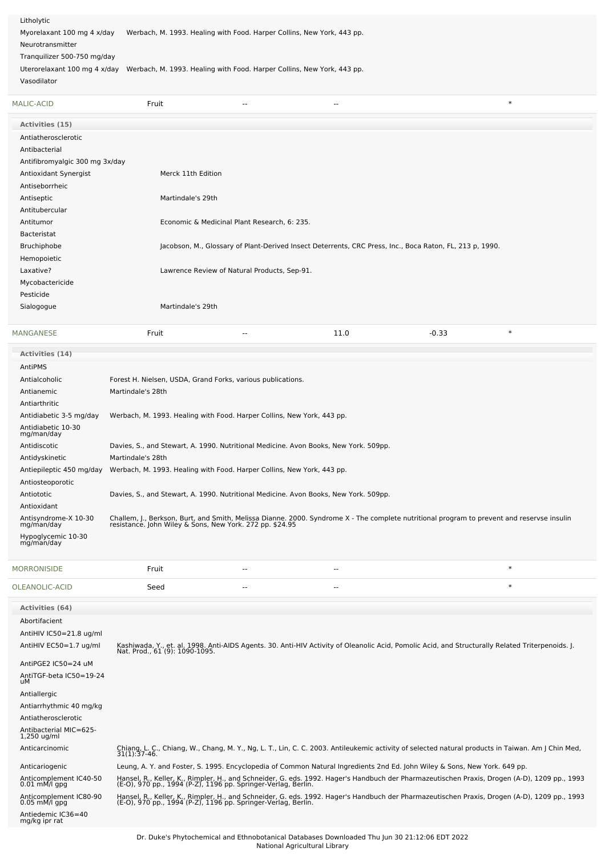Litholytic Myorelaxant 100 mg 4 x/day Werbach, M. 1993. Healing with Food. Harper Collins, New York, 443 pp. Neurotransmitter Tranquilizer 500-750 mg/day

Uterorelaxant 100 mg 4 x/day Werbach, M. 1993. Healing with Food. Harper Collins, New York, 443 pp.

Vasodilator

AntiHIV IC50=21.8 ug/ml

| Vasodilator                        |                                                                                                                                                                                                        |                                              |      |                                                                                                          |        |
|------------------------------------|--------------------------------------------------------------------------------------------------------------------------------------------------------------------------------------------------------|----------------------------------------------|------|----------------------------------------------------------------------------------------------------------|--------|
| <b>MALIC-ACID</b>                  | Fruit                                                                                                                                                                                                  |                                              | Ξ.   |                                                                                                          | $\ast$ |
| <b>Activities (15)</b>             |                                                                                                                                                                                                        |                                              |      |                                                                                                          |        |
| Antiatherosclerotic                |                                                                                                                                                                                                        |                                              |      |                                                                                                          |        |
| Antibacterial                      |                                                                                                                                                                                                        |                                              |      |                                                                                                          |        |
| Antifibromyalgic 300 mg 3x/day     |                                                                                                                                                                                                        |                                              |      |                                                                                                          |        |
| Antioxidant Synergist              | Merck 11th Edition                                                                                                                                                                                     |                                              |      |                                                                                                          |        |
| Antiseborrheic                     |                                                                                                                                                                                                        |                                              |      |                                                                                                          |        |
| Antiseptic                         | Martindale's 29th                                                                                                                                                                                      |                                              |      |                                                                                                          |        |
| Antitubercular                     |                                                                                                                                                                                                        |                                              |      |                                                                                                          |        |
| Antitumor                          |                                                                                                                                                                                                        | Economic & Medicinal Plant Research, 6: 235. |      |                                                                                                          |        |
| Bacteristat                        |                                                                                                                                                                                                        |                                              |      |                                                                                                          |        |
| Bruchiphobe                        |                                                                                                                                                                                                        |                                              |      | Jacobson, M., Glossary of Plant-Derived Insect Deterrents, CRC Press, Inc., Boca Raton, FL, 213 p, 1990. |        |
| Hemopoietic                        |                                                                                                                                                                                                        |                                              |      |                                                                                                          |        |
| Laxative?                          |                                                                                                                                                                                                        | Lawrence Review of Natural Products, Sep-91. |      |                                                                                                          |        |
| Mycobactericide                    |                                                                                                                                                                                                        |                                              |      |                                                                                                          |        |
| Pesticide                          |                                                                                                                                                                                                        |                                              |      |                                                                                                          |        |
| Sialogogue                         | Martindale's 29th                                                                                                                                                                                      |                                              |      |                                                                                                          |        |
| MANGANESE                          | Fruit                                                                                                                                                                                                  | $-$                                          | 11.0 | $-0.33$                                                                                                  | $\ast$ |
| <b>Activities (14)</b>             |                                                                                                                                                                                                        |                                              |      |                                                                                                          |        |
| AntiPMS                            |                                                                                                                                                                                                        |                                              |      |                                                                                                          |        |
| Antialcoholic                      | Forest H. Nielsen, USDA, Grand Forks, various publications.                                                                                                                                            |                                              |      |                                                                                                          |        |
| Antianemic                         | Martindale's 28th                                                                                                                                                                                      |                                              |      |                                                                                                          |        |
| Antiarthritic                      |                                                                                                                                                                                                        |                                              |      |                                                                                                          |        |
| Antidiabetic 3-5 mg/day            | Werbach, M. 1993. Healing with Food. Harper Collins, New York, 443 pp.                                                                                                                                 |                                              |      |                                                                                                          |        |
| Antidiabetic 10-30<br>mg/man/day   |                                                                                                                                                                                                        |                                              |      |                                                                                                          |        |
| Antidiscotic                       | Davies, S., and Stewart, A. 1990. Nutritional Medicine. Avon Books, New York. 509pp.                                                                                                                   |                                              |      |                                                                                                          |        |
| Antidyskinetic                     | Martindale's 28th                                                                                                                                                                                      |                                              |      |                                                                                                          |        |
| Antiepileptic 450 mg/day           | Werbach, M. 1993. Healing with Food. Harper Collins, New York, 443 pp.                                                                                                                                 |                                              |      |                                                                                                          |        |
| Antiosteoporotic                   |                                                                                                                                                                                                        |                                              |      |                                                                                                          |        |
| Antiototic                         | Davies, S., and Stewart, A. 1990. Nutritional Medicine. Avon Books, New York. 509pp.                                                                                                                   |                                              |      |                                                                                                          |        |
| Antioxidant                        |                                                                                                                                                                                                        |                                              |      |                                                                                                          |        |
| Antisyndrome-X 10-30<br>mg/man/day | Challem, J., Berkson, Burt, and Smith, Melissa Dianne. 2000. Syndrome X - The complete nutritional program to prevent and reservse insulin<br>resistance. John Wiley & Sons, New York. 272 pp. \$24.95 |                                              |      |                                                                                                          |        |
| Hypoglycemic 10-30<br>mg/man/day   |                                                                                                                                                                                                        |                                              |      |                                                                                                          |        |
| <b>MORRONISIDE</b>                 | Fruit                                                                                                                                                                                                  | --                                           | --   |                                                                                                          | $\ast$ |
| OLEANOLIC-ACID                     | Seed                                                                                                                                                                                                   | $\overline{\phantom{a}}$                     | --   |                                                                                                          | $\ast$ |
| <b>Activities (64)</b>             |                                                                                                                                                                                                        |                                              |      |                                                                                                          |        |
| Abortifacient                      |                                                                                                                                                                                                        |                                              |      |                                                                                                          |        |

| AntiHIV EC50=1.7 ug/ml                            | Kashiwada, Y., et. al. 1998. Anti-AIDS Agents. 30. Anti-HIV Activity of Oleanolic Acid, Pomolic Acid, and Structurally Related Triterpenoids. [.<br>Nat. Prod., 61 (9): 1090-1095.                            |
|---------------------------------------------------|---------------------------------------------------------------------------------------------------------------------------------------------------------------------------------------------------------------|
| AntiPGE2 IC50=24 uM                               |                                                                                                                                                                                                               |
| AntiTGF-beta IC50=19-24<br>uМ                     |                                                                                                                                                                                                               |
| Antiallergic                                      |                                                                                                                                                                                                               |
| Antiarrhythmic 40 mg/kg                           |                                                                                                                                                                                                               |
| Antiatherosclerotic                               |                                                                                                                                                                                                               |
| Antibacterial MIC=625-<br>$1,250$ ug/ml           |                                                                                                                                                                                                               |
| Anticarcinomic                                    | Chiang, L. C., Chiang, W., Chang, M. Y., Ng, L. T., Lin, C. C. 2003. Antileukemic activity of selected natural products in Taiwan. Am J Chin Med,<br>$31(1):37-46.$                                           |
| Anticariogenic                                    | Leung, A. Y. and Foster, S. 1995. Encyclopedia of Common Natural Ingredients 2nd Ed. John Wiley & Sons, New York. 649 pp.                                                                                     |
| Anticomplement IC40-50<br>$0.01 \text{ mM/l}$ gpg | Hansel, R., Keller, K., Rimpler, H., and Schneider, G. eds. 1992. Hager's Handbuch der Pharmazeutischen Praxis, Drogen (A-D), 1209 pp., 1993<br>(E-O), 970 pp., 1994 (P-Z), 1196 pp. Springer-Verlag, Berlin. |
| Anticomplement IC80-90<br>$0.05$ mM/l gpg         | Hansel, R., Keller, K., Rimpler, H., and Schneider, G. eds. 1992. Hager's Handbuch der Pharmazeutischen Praxis, Drogen (A-D), 1209 pp., 1993<br>(E-O), 970 pp., 1994 (P-Z), 1196 pp. Springer-Verlag, Berlin. |
| Antiedemic IC36=40<br>mg/kg ipr rat               |                                                                                                                                                                                                               |
|                                                   |                                                                                                                                                                                                               |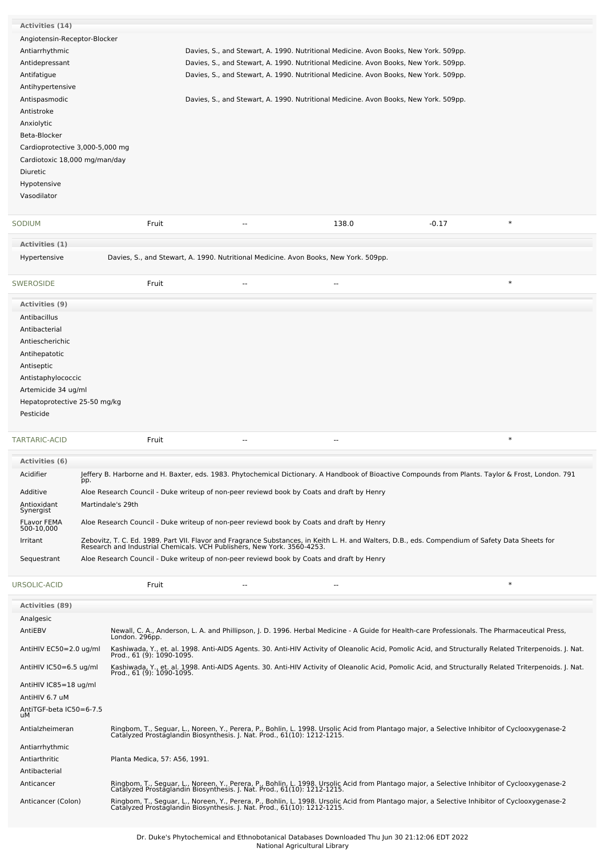| Activities (14)                                  |     |                               |                                                                                                                                                                                                                                                                                                                          |                          |         |        |
|--------------------------------------------------|-----|-------------------------------|--------------------------------------------------------------------------------------------------------------------------------------------------------------------------------------------------------------------------------------------------------------------------------------------------------------------------|--------------------------|---------|--------|
|                                                  |     |                               |                                                                                                                                                                                                                                                                                                                          |                          |         |        |
| Angiotensin-Receptor-Blocker                     |     |                               |                                                                                                                                                                                                                                                                                                                          |                          |         |        |
| Antiarrhythmic                                   |     |                               | Davies, S., and Stewart, A. 1990. Nutritional Medicine. Avon Books, New York. 509pp.                                                                                                                                                                                                                                     |                          |         |        |
| Antidepressant                                   |     |                               | Davies, S., and Stewart, A. 1990. Nutritional Medicine. Avon Books, New York. 509pp.                                                                                                                                                                                                                                     |                          |         |        |
| Antifatigue                                      |     |                               | Davies, S., and Stewart, A. 1990. Nutritional Medicine. Avon Books, New York. 509pp.                                                                                                                                                                                                                                     |                          |         |        |
|                                                  |     |                               |                                                                                                                                                                                                                                                                                                                          |                          |         |        |
| Antihypertensive                                 |     |                               |                                                                                                                                                                                                                                                                                                                          |                          |         |        |
| Antispasmodic                                    |     |                               | Davies, S., and Stewart, A. 1990. Nutritional Medicine. Avon Books, New York. 509pp.                                                                                                                                                                                                                                     |                          |         |        |
| Antistroke                                       |     |                               |                                                                                                                                                                                                                                                                                                                          |                          |         |        |
| Anxiolytic                                       |     |                               |                                                                                                                                                                                                                                                                                                                          |                          |         |        |
| Beta-Blocker                                     |     |                               |                                                                                                                                                                                                                                                                                                                          |                          |         |        |
| Cardioprotective 3,000-5,000 mg                  |     |                               |                                                                                                                                                                                                                                                                                                                          |                          |         |        |
| Cardiotoxic 18,000 mg/man/day                    |     |                               |                                                                                                                                                                                                                                                                                                                          |                          |         |        |
| Diuretic                                         |     |                               |                                                                                                                                                                                                                                                                                                                          |                          |         |        |
|                                                  |     |                               |                                                                                                                                                                                                                                                                                                                          |                          |         |        |
| Hypotensive                                      |     |                               |                                                                                                                                                                                                                                                                                                                          |                          |         |        |
| Vasodilator                                      |     |                               |                                                                                                                                                                                                                                                                                                                          |                          |         |        |
| SODIUM                                           |     | Fruit                         | $\sim$ $\sim$                                                                                                                                                                                                                                                                                                            | 138.0                    | $-0.17$ | $\ast$ |
|                                                  |     |                               |                                                                                                                                                                                                                                                                                                                          |                          |         |        |
| Activities (1)                                   |     |                               |                                                                                                                                                                                                                                                                                                                          |                          |         |        |
| Hypertensive                                     |     |                               | Davies, S., and Stewart, A. 1990. Nutritional Medicine. Avon Books, New York. 509pp.                                                                                                                                                                                                                                     |                          |         |        |
| <b>SWEROSIDE</b>                                 |     | Fruit                         | $\overline{a}$                                                                                                                                                                                                                                                                                                           | $\overline{\phantom{a}}$ |         | $\ast$ |
| <b>Activities (9)</b>                            |     |                               |                                                                                                                                                                                                                                                                                                                          |                          |         |        |
| Antibacillus                                     |     |                               |                                                                                                                                                                                                                                                                                                                          |                          |         |        |
| Antibacterial                                    |     |                               |                                                                                                                                                                                                                                                                                                                          |                          |         |        |
| Antiescherichic                                  |     |                               |                                                                                                                                                                                                                                                                                                                          |                          |         |        |
| Antihepatotic                                    |     |                               |                                                                                                                                                                                                                                                                                                                          |                          |         |        |
|                                                  |     |                               |                                                                                                                                                                                                                                                                                                                          |                          |         |        |
| Antiseptic                                       |     |                               |                                                                                                                                                                                                                                                                                                                          |                          |         |        |
| Antistaphylococcic                               |     |                               |                                                                                                                                                                                                                                                                                                                          |                          |         |        |
| Artemicide 34 ug/ml                              |     |                               |                                                                                                                                                                                                                                                                                                                          |                          |         |        |
| Hepatoprotective 25-50 mg/kg                     |     |                               |                                                                                                                                                                                                                                                                                                                          |                          |         |        |
| Pesticide                                        |     |                               |                                                                                                                                                                                                                                                                                                                          |                          |         |        |
|                                                  |     |                               |                                                                                                                                                                                                                                                                                                                          |                          |         |        |
| TARTARIC-ACID                                    |     | Fruit                         | $\overline{a}$                                                                                                                                                                                                                                                                                                           | --                       |         | $\ast$ |
|                                                  |     |                               |                                                                                                                                                                                                                                                                                                                          |                          |         |        |
| Activities (6)                                   |     |                               |                                                                                                                                                                                                                                                                                                                          |                          |         |        |
| Acidifier                                        |     |                               | Jeffery B. Harborne and H. Baxter, eds. 1983. Phytochemical Dictionary. A Handbook of Bioactive Compounds from Plants. Taylor & Frost, London. 791                                                                                                                                                                       |                          |         |        |
|                                                  | pp. |                               |                                                                                                                                                                                                                                                                                                                          |                          |         |        |
| Additive                                         |     |                               | Aloe Research Council - Duke writeup of non-peer reviewd book by Coats and draft by Henry                                                                                                                                                                                                                                |                          |         |        |
| Antioxidant<br>Synergist                         |     | Martindale's 29th             |                                                                                                                                                                                                                                                                                                                          |                          |         |        |
| FLavor FEMA<br>500-10,000                        |     |                               | Aloe Research Council - Duke writeup of non-peer reviewd book by Coats and draft by Henry                                                                                                                                                                                                                                |                          |         |        |
| Irritant                                         |     |                               |                                                                                                                                                                                                                                                                                                                          |                          |         |        |
| Sequestrant                                      |     |                               | Zebovitz, T. C. Ed. 1989. Part VII. Flavor and Fragrance Substances, in Keith L. H. and Walters, D.B., eds. Compendium of Safety Data Sheets for<br>Research and Industrial Chemicals. VCH Publishers, New York. 3560-4253.<br>Aloe Research Council - Duke writeup of non-peer reviewd book by Coats and draft by Henry |                          |         |        |
|                                                  |     |                               |                                                                                                                                                                                                                                                                                                                          |                          |         |        |
| URSOLIC-ACID                                     |     | Fruit                         | $\overline{\phantom{a}}$                                                                                                                                                                                                                                                                                                 | $-$                      |         | $\ast$ |
| <b>Activities (89)</b>                           |     |                               |                                                                                                                                                                                                                                                                                                                          |                          |         |        |
| Analgesic                                        |     |                               |                                                                                                                                                                                                                                                                                                                          |                          |         |        |
| AntiEBV                                          |     |                               |                                                                                                                                                                                                                                                                                                                          |                          |         |        |
|                                                  |     |                               | Newall, C. A., Anderson, L. A. and Phillipson, J. D. 1996. Herbal Medicine - A Guide for Health-care Professionals. The Pharmaceutical Press,<br>London. 296pp.                                                                                                                                                          |                          |         |        |
| AntiHIV EC50=2.0 ug/ml<br>AntiHIV IC50=6.5 ug/ml |     | Prod., 61 (9): 1090-1095.     | Kashiwada, Y., et. al. 1998. Anti-AIDS Agents. 30. Anti-HIV Activity of Oleanolic Acid, Pomolic Acid, and Structurally Related Triterpenoids. J. Nat.                                                                                                                                                                    |                          |         |        |
|                                                  |     | Prod., 61 (9): 1090-1095.     | Kashiwada, Y., et. al. 1998. Anti-AIDS Agents. 30. Anti-HIV Activity of Oleanolic Acid, Pomolic Acid, and Structurally Related Triterpenoids. J. Nat.                                                                                                                                                                    |                          |         |        |
| AntiHIV IC85=18 ug/ml                            |     |                               |                                                                                                                                                                                                                                                                                                                          |                          |         |        |
| AntiHIV 6.7 uM                                   |     |                               |                                                                                                                                                                                                                                                                                                                          |                          |         |        |
| AntiTGF-beta IC50=6-7.5<br>uМ                    |     |                               |                                                                                                                                                                                                                                                                                                                          |                          |         |        |
| Antialzheimeran                                  |     |                               | Ringbom, T., Seguar, L., Noreen, Y., Perera, P., Bohlin, L. 1998. Ursolic Acid from Plantago major, a Selective Inhibitor of Cyclooxygenase-2<br>Catalyzed Prostaglandin Biosynthesis. J. Nat. Prod., 61(10): 1212-1215.                                                                                                 |                          |         |        |
| Antiarrhythmic                                   |     |                               |                                                                                                                                                                                                                                                                                                                          |                          |         |        |
| Antiarthritic                                    |     | Planta Medica, 57: A56, 1991. |                                                                                                                                                                                                                                                                                                                          |                          |         |        |
| Antibacterial                                    |     |                               |                                                                                                                                                                                                                                                                                                                          |                          |         |        |
| Anticancer                                       |     |                               |                                                                                                                                                                                                                                                                                                                          |                          |         |        |
|                                                  |     |                               | Ringbom, T., Seguar, L., Noreen, Y., Perera, P., Bohlin, L. 1998. Ursolic Acid from Plantago major, a Selective Inhibitor of Cyclooxygenase-2<br>Catalyzed Prostaglandin Biosynthesis. J. Nat. Prod., 61(10): 1212-1215.                                                                                                 |                          |         |        |
| Anticancer (Colon)                               |     |                               | Ringbom, T., Seguar, L., Noreen, Y., Perera, P., Bohlin, L. 1998. Ursolic Acid from Plantago major, a Selective Inhibitor of Cyclooxygenase-2<br>Catalyzed Prostaglandin Biosynthesis. J. Nat. Prod., 61(10): 1212-1215.                                                                                                 |                          |         |        |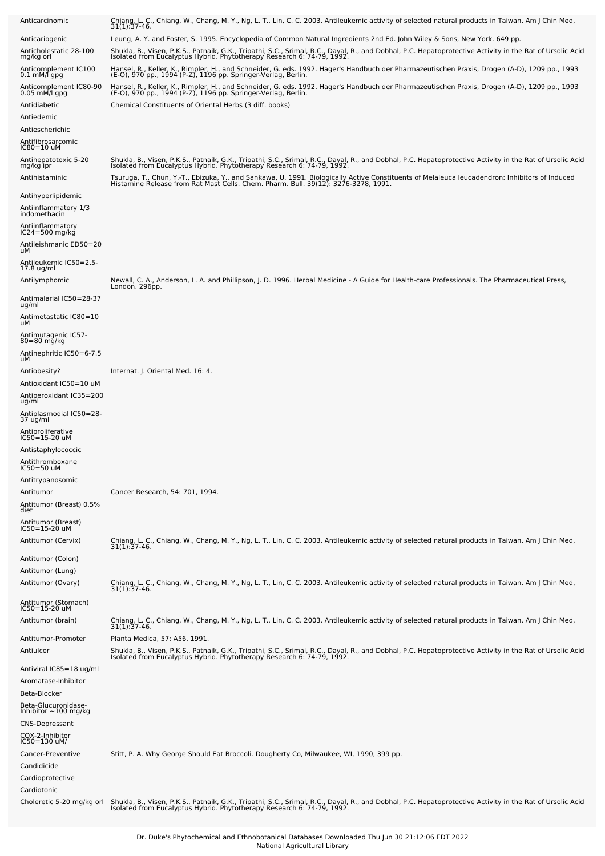| Anticarcinomic                                                     | Chiang, L. C., Chiang, W., Chang, M. Y., Ng, L. T., Lin, C. C. 2003. Antileukemic activity of selected natural products in Taiwan. Am J Chin Med,<br>$31(1):37-46.$                                                                                                                                            |
|--------------------------------------------------------------------|----------------------------------------------------------------------------------------------------------------------------------------------------------------------------------------------------------------------------------------------------------------------------------------------------------------|
| Anticariogenic                                                     | Leung, A. Y. and Foster, S. 1995. Encyclopedia of Common Natural Ingredients 2nd Ed. John Wiley & Sons, New York. 649 pp.                                                                                                                                                                                      |
| Anticholestatic 28-100<br>mg/kg orl                                | Shukla, B., Visen, P.K.S., Patnaik, G.K., Tripathi, S.C., Srimal, R.C., Dayal, R., and Dobhal, P.C. Hepatoprotective Activity in the Rat of Ursolic Acid<br>Isolated from Eucalyptus Hybrid. Phytotherapy Research 6: 74-79, 1992.                                                                             |
| Anticomplement IC100<br>$0.1 \text{ mM/f}$ gpg                     | Hansel, R., Keller, K., Rimpler, H., and Schneider, G. eds. 1992. Hager's Handbuch der Pharmazeutischen Praxis, Drogen (A-D), 1209 pp., 1993<br>(E-O), 970 pp., 1994 (P-Z), 1196 pp. Springer-Verlag, Berlin.                                                                                                  |
| Anticomplement IC80-90<br>$0.05$ mM/l gpg                          | Hansel, R., Keller, K., Rimpler, H., and Schneider, G. eds. 1992. Hager's Handbuch der Pharmazeutischen Praxis, Drogen (A-D), 1209 pp., 1993<br>(E-O), 970 pp., 1994 (P-Z), 1196 pp. Springer-Verlag, Berlin.                                                                                                  |
| Antidiabetic                                                       | Chemical Constituents of Oriental Herbs (3 diff. books)                                                                                                                                                                                                                                                        |
| Antiedemic<br>Antiescherichic                                      |                                                                                                                                                                                                                                                                                                                |
| Antifibrosarcomic                                                  |                                                                                                                                                                                                                                                                                                                |
| IC80=10 uM<br>Antihepatotoxic 5-20                                 | Shukla, B., Visen, P.K.S., Patnaik, G.K., Tripathi, S.C., Srimal, R.C., Dayal, R., and Dobhal, P.C. Hepatoprotective Activity in the Rat of Ursolic Acid                                                                                                                                                       |
| mg/kg ipr<br>Antihistaminic                                        | Isolated from Eucalyptus Hybrid. Phytotherapy Research 6: 74-79, 1992.<br>Tsuruga, T., Chun, Y.-T., Ebizuka, Y., and Sankawa, U. 1991. Biologically Active Constituents of Melaleuca leucadendron: Inhibitors of Induced<br>Histamine Release from Rat Mast Cells. Chem. Pharm. Bull. 39(12): 3276-3278, 1991. |
| Antihyperlipidemic<br>Antiinflammatory 1/3                         |                                                                                                                                                                                                                                                                                                                |
| indomethacin                                                       |                                                                                                                                                                                                                                                                                                                |
| Antiinflammatory<br>IC24=500 mg/kg<br>Antileishmanic ED50=20<br>uМ |                                                                                                                                                                                                                                                                                                                |
| Antileukemic IC50=2.5-                                             |                                                                                                                                                                                                                                                                                                                |
| $17.8$ ug/ml<br>Antilymphomic                                      | Newall, C. A., Anderson, L. A. and Phillipson, J. D. 1996. Herbal Medicine - A Guide for Health-care Professionals. The Pharmaceutical Press,<br>London. 296pp.                                                                                                                                                |
| Antimalarial IC50=28-37<br>ug/ml                                   |                                                                                                                                                                                                                                                                                                                |
| Antimetastatic IC80=10<br>uМ                                       |                                                                                                                                                                                                                                                                                                                |
| Antimutagenic IC57-<br>$80 = 80$ mg/kg                             |                                                                                                                                                                                                                                                                                                                |
| Antinephritic IC50=6-7.5<br>uМ                                     |                                                                                                                                                                                                                                                                                                                |
| Antiobesity?                                                       | Internat. J. Oriental Med. 16: 4.                                                                                                                                                                                                                                                                              |
| Antioxidant IC50=10 uM<br>Antiperoxidant IC35=200<br>ug/ml         |                                                                                                                                                                                                                                                                                                                |
| Antiplasmodial IC50=28-<br>37 ug/ml                                |                                                                                                                                                                                                                                                                                                                |
| Antiproliferative<br>IC50=15-20 uM                                 |                                                                                                                                                                                                                                                                                                                |
| Antistaphylococcic<br>Antithromboxane                              |                                                                                                                                                                                                                                                                                                                |
| IC50=50 uM<br>Antitrypanosomic                                     |                                                                                                                                                                                                                                                                                                                |
| Antitumor                                                          | Cancer Research, 54: 701, 1994.                                                                                                                                                                                                                                                                                |
| Antitumor (Breast) 0.5%<br>diet                                    |                                                                                                                                                                                                                                                                                                                |
| Antitumor (Breast)<br>IC50=15-20 uM                                |                                                                                                                                                                                                                                                                                                                |
| Antitumor (Cervix)                                                 | Chiang, L. C., Chiang, W., Chang, M. Y., Ng, L. T., Lin, C. C. 2003. Antileukemic activity of selected natural products in Taiwan. Am J Chin Med,<br>$31(1):37-46.$                                                                                                                                            |
| Antitumor (Colon)                                                  |                                                                                                                                                                                                                                                                                                                |
| Antitumor (Lung)<br>Antitumor (Ovary)                              | Chiang, L. C., Chiang, W., Chang, M. Y., Ng, L. T., Lin, C. C. 2003. Antileukemic activity of selected natural products in Taiwan. Am J Chin Med, 31(1):37-46.                                                                                                                                                 |
| Antitumor (Stomach)<br>IC50=15-20 uM                               |                                                                                                                                                                                                                                                                                                                |
| Antitumor (brain)                                                  | Chiang, L. C., Chiang, W., Chang, M. Y., Ng, L. T., Lin, C. C. 2003. Antileukemic activity of selected natural products in Taiwan. Am J Chin Med,<br>$31(1):37-46.$                                                                                                                                            |
| Antitumor-Promoter                                                 | Planta Medica, 57: A56, 1991.                                                                                                                                                                                                                                                                                  |
| Antiulcer                                                          | Shukla, B., Visen, P.K.S., Patnaik, G.K., Tripathi, S.C., Srimal, R.C., Dayal, R., and Dobhal, P.C. Hepatoprotective Activity in the Rat of Ursolic Acid<br>Isolated from Eucalyptus Hybrid. Phytotherapy Research 6: 74-79, 1992.                                                                             |
| Antiviral IC85=18 ug/ml                                            |                                                                                                                                                                                                                                                                                                                |
| Aromatase-Inhibitor                                                |                                                                                                                                                                                                                                                                                                                |
| Beta-Blocker<br>Beta-Glucuronidase-<br>Inhibitor $\sim$ 100 mg/kg  |                                                                                                                                                                                                                                                                                                                |
| <b>CNS-Depressant</b>                                              |                                                                                                                                                                                                                                                                                                                |
| COX-2-Inhibitor<br>IC50=130 uM/                                    |                                                                                                                                                                                                                                                                                                                |
| Cancer-Preventive                                                  | Stitt, P. A. Why George Should Eat Broccoli. Dougherty Co, Milwaukee, WI, 1990, 399 pp.                                                                                                                                                                                                                        |
| Candidicide<br>Cardioprotective                                    |                                                                                                                                                                                                                                                                                                                |
| Cardiotonic<br>Choleretic 5-20 mg/kg orl                           | Shukla, B., Visen, P.K.S., Patnaik, G.K., Tripathi, S.C., Srimal, R.C., Dayal, R., and Dobhal, P.C. Hepatoprotective Activity in the Rat of Ursolic Acid<br>Isolated from Eucalyptus Hybrid. Phytotherapy Research 6: 74-79, 1992                                                                              |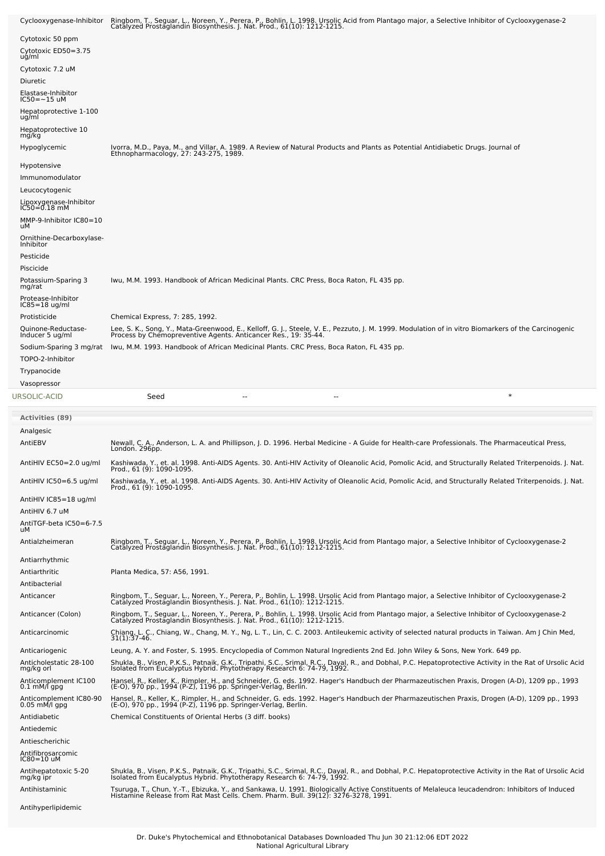| Cyclooxygenase-Inhibitor                | Ringbom, T., Seguar, L., Noreen, Y., Perera, P., Bohlin, L. 1998. Ursolic Acid from Plantago major, a Selective Inhibitor of Cyclooxygenase-2<br>Catalyzed Prostaglandin Biosynthesis. J. Nat. Prod., 61(10): 1212-1215.          |
|-----------------------------------------|-----------------------------------------------------------------------------------------------------------------------------------------------------------------------------------------------------------------------------------|
| Cytotoxic 50 ppm                        |                                                                                                                                                                                                                                   |
| Cytotoxic ED50=3.75<br>ug/ml            |                                                                                                                                                                                                                                   |
| Cytotoxic 7.2 uM                        |                                                                                                                                                                                                                                   |
| <b>Diuretic</b>                         |                                                                                                                                                                                                                                   |
| Elastase-Inhibitor<br>IC50=~15 uM       |                                                                                                                                                                                                                                   |
| Hepatoprotective 1-100<br>ug/ml         |                                                                                                                                                                                                                                   |
| Hepatoprotective 10<br>mg/kg            |                                                                                                                                                                                                                                   |
| Hypoglycemic                            | Ivorra, M.D., Paya, M., and Villar, A. 1989. A Review of Natural Products and Plants as Potential Antidiabetic Drugs. Journal of<br>Ethnopharmacology, 27: 243-275, 1989.                                                         |
| Hypotensive                             |                                                                                                                                                                                                                                   |
| Immunomodulator                         |                                                                                                                                                                                                                                   |
| Leucocytogenic                          |                                                                                                                                                                                                                                   |
| Lipoxygenase-Inhibitor<br>IC50=0.18 mM  |                                                                                                                                                                                                                                   |
| MMP-9-Inhibitor IC80=10<br>uМ           |                                                                                                                                                                                                                                   |
| Ornithine-Decarboxylase-<br>Inhibitor   |                                                                                                                                                                                                                                   |
| Pesticide                               |                                                                                                                                                                                                                                   |
| Piscicide                               |                                                                                                                                                                                                                                   |
| Potassium-Sparing 3<br>mg/rat           | lwu, M.M. 1993. Handbook of African Medicinal Plants. CRC Press, Boca Raton, FL 435 pp.                                                                                                                                           |
| Protease-Inhibitor<br>$IC85 = 18$ ug/ml |                                                                                                                                                                                                                                   |
| Protisticide                            | Chemical Express, 7: 285, 1992.                                                                                                                                                                                                   |
| Quinone-Reductase-<br>Inducer 5 ug/ml   | Lee, S. K., Song, Y., Mata-Greenwood, E., Kelloff, G. J., Steele, V. E., Pezzuto, J. M. 1999. Modulation of in vitro Biomarkers of the Carcinogenic<br>Process by Chemopreventive Agents. Anticancer Res., 19: 35-44.             |
| Sodium-Sparing 3 mg/rat                 | Iwu, M.M. 1993. Handbook of African Medicinal Plants. CRC Press, Boca Raton, FL 435 pp.                                                                                                                                           |
| TOPO-2-Inhibitor<br>Trypanocide         |                                                                                                                                                                                                                                   |
| Vasopressor                             |                                                                                                                                                                                                                                   |
| URSOLIC-ACID                            | $\ast$<br>Seed                                                                                                                                                                                                                    |
|                                         |                                                                                                                                                                                                                                   |
| <b>Activities (89)</b>                  |                                                                                                                                                                                                                                   |
| Analgesic                               |                                                                                                                                                                                                                                   |
| AntiEBV                                 | Newall, C. A., Anderson, L. A. and Phillipson, J. D. 1996. Herbal Medicine - A Guide for Health-care Professionals. The Pharmaceutical Press,<br>London. 296pp.                                                                   |
| AntiHIV EC50=2.0 ug/ml                  | Kashiwada, Y., et. al. 1998. Anti-AIDS Agents. 30. Anti-HIV Activity of Oleanolic Acid, Pomolic Acid, and Structurally Related Triterpenoids. J. Nat.                                                                             |
| AntiHIV IC50=6.5 ug/ml                  | LL00" 0T (a): T0a0-T0a2                                                                                                                                                                                                           |
| AntiHIV IC85=18 ug/ml                   | Kashiwada, Y., et. al. 1998. Anti-AIDS Agents. 30. Anti-HIV Activity of Oleanolic Acid, Pomolic Acid, and Structurally Related Triterpenoids. J. Nat.<br>Prod., 61 (9): 1090-1095.                                                |
| AntiHIV 6.7 uM                          |                                                                                                                                                                                                                                   |
| AntiTGF-beta IC50=6-7.5<br>uМ           |                                                                                                                                                                                                                                   |
| Antialzheimeran                         | Ringbom, T., Seguar, L., Noreen, Y., Perera, P., Bohlin, L. 1998. Ursolic Acid from Plantago major, a Selective Inhibitor of Cyclooxygenase-2<br>Catalyzed Prostaglandin Biosynthesis. J. Nat. Prod., 61(10): 1212-1215.          |
| Antiarrhythmic                          |                                                                                                                                                                                                                                   |
| Antiarthritic                           | Planta Medica, 57: A56, 1991.                                                                                                                                                                                                     |
| Antibacterial<br>Anticancer             |                                                                                                                                                                                                                                   |
|                                         | Ringbom, T., Seguar, L., Noreen, Y., Perera, P., Bohlin, L. 1998. Ursolic Acid from Plantago major, a Selective Inhibitor of Cyclooxygenase-2<br>Catalyzed Prostaglandin Biosynthesis. J. Nat. Prod., 61(10): 1212-1215.          |
| Anticancer (Colon)                      | Ringbom, T., Seguar, L., Noreen, Y., Perera, P., Bohlin, L. 1998. Ursolic Acid from Plantago major, a Selective Inhibitor of Cyclooxygenase-2<br>Catalyzed Prostaglandin Biosynthesis. J. Nat. Prod., 61(10): 1212-1215.          |
| Anticarcinomic                          | Chiang, L. C., Chiang, W., Chang, M. Y., Ng, L. T., Lin, C. C. 2003. Antileukemic activity of selected natural products in Taiwan. Am J Chin Med,<br>$31(1):37-46.$                                                               |
| Anticariogenic                          | Leung, A. Y. and Foster, S. 1995. Encyclopedia of Common Natural Ingredients 2nd Ed. John Wiley & Sons, New York. 649 pp.                                                                                                         |
| Anticholestatic 28-100<br>mg/kg orl     | Shukla, B., Visen, P.K.S., Patnaik, G.K., Tripathi, S.C., Srimal, R.C., Dayal, R., and Dobhal, P.C. Hepatoprotective Activity in the Rat of Ursolic Acid<br>Isolated from Eucalyptus Hybrid. Phytotherapy Research 6: 74-79, 1992 |
| Anticomplement IC100<br>0.1 mM/l gpg    | Hansel, R., Keller, K., Rimpler, H., and Schneider, G. eds. 1992. Hager's Handbuch der Pharmazeutischen Praxis, Drogen (A-D), 1209 pp., 1993<br>(E-O), 970 pp., 1994 (P-Z), 1196 pp. Springer-Verlag, Berlin.                     |
| Anticomplement IC80-90                  | Hansel, R., Keller, K., Rimpler, H., and Schneider, G. eds. 1992. Hager's Handbuch der Pharmazeutischen Praxis, Drogen (A-D), 1209 pp., 1993                                                                                      |
| $0.05$ mM/l gpg<br>Antidiabetic         | (E-O), 970 pp., 1994 (P-Z), 1196 pp. Springer-Verlag, Berlin.<br>Chemical Constituents of Oriental Herbs (3 diff. books)                                                                                                          |
| Antiedemic                              |                                                                                                                                                                                                                                   |
| Antiescherichic<br>Antifibrosarcomic    |                                                                                                                                                                                                                                   |
| IC80=10 uM                              |                                                                                                                                                                                                                                   |
| Antihepatotoxic 5-20<br>mg/kg ipr       | Shukla, B., Visen, P.K.S., Patnaik, G.K., Tripathi, S.C., Srimal, R.C., Dayal, R., and Dobhal, P.C. Hepatoprotective Activity in the Rat of Ursolic Acid<br>Isolated from Eucalyptus Hybrid. Phytotherapy Research 6: 74-79, 1992 |
| Antihistaminic                          | Tsuruga, T., Chun, Y.-T., Ebizuka, Y., and Sankawa, U. 1991. Biologically Active Constituents of Melaleuca leucadendron: Inhibitors of Induced<br>Histamine Release from Rat Mast Cells. Chem. Pharm. Bull. 39(12): 3276-3278, 19 |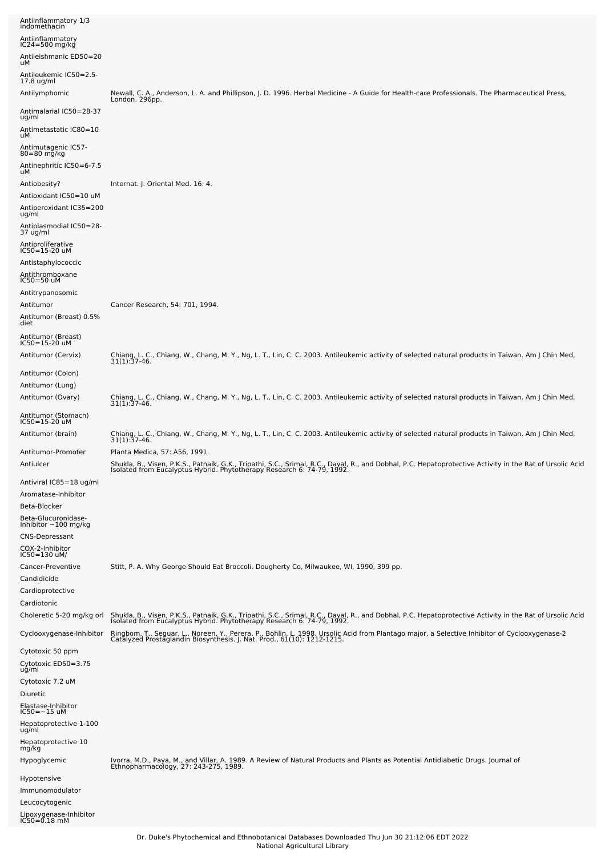| Antiinflammatory 1/3<br>indomethacin<br>Antiinflammatory<br>$IC24 = 500$ mg/kg<br>Antileishmanic ED50=20<br>uМ<br>Antileukemic IC50=2.5-<br>17.8 ug/ml<br>Antilymphomic                | Newall, C. A., Anderson, L. A. and Phillipson, J. D. 1996. Herbal Medicine - A Guide for Health-care Professionals. The Pharmaceutical Press,                                                                                                                                                                                                                                      |
|----------------------------------------------------------------------------------------------------------------------------------------------------------------------------------------|------------------------------------------------------------------------------------------------------------------------------------------------------------------------------------------------------------------------------------------------------------------------------------------------------------------------------------------------------------------------------------|
| Antimalarial IC50=28-37<br>ug/ml<br>Antimetastatic IC80=10<br>uМ<br>Antimutagenic IC57-<br>$80 = 80$ mg/kg                                                                             | London. 296pp.                                                                                                                                                                                                                                                                                                                                                                     |
| Antinephritic IC50=6-7.5<br>uМ<br>Antiobesity?<br>Antioxidant IC50=10 uM<br>Antiperoxidant IC35=200<br>ug/ml<br>Antiplasmodial IC50=28-                                                | Internat. J. Oriental Med. 16: 4.                                                                                                                                                                                                                                                                                                                                                  |
| 37 ug/ml<br>Antiproliferative<br>IC50=15-20 uM<br>Antistaphylococcic<br>Antithromboxane<br>$IC50 = 50$ uM<br>Antitrypanosomic<br>Antitumor                                             | Cancer Research, 54: 701, 1994.                                                                                                                                                                                                                                                                                                                                                    |
| Antitumor (Breast) 0.5%<br>diet<br>Antitumor (Breast)<br>$IC50 = 15 - 20$ uM                                                                                                           |                                                                                                                                                                                                                                                                                                                                                                                    |
| Antitumor (Cervix)<br>Antitumor (Colon)<br>Antitumor (Lung)                                                                                                                            | Chiang, L. C., Chiang, W., Chang, M. Y., Ng, L. T., Lin, C. C. 2003. Antileukemic activity of selected natural products in Taiwan. Am J Chin Med,<br>$31(1):37-46.$                                                                                                                                                                                                                |
| Antitumor (Ovary)<br>Antitumor (Stomach)<br>IC50=15-20 uM                                                                                                                              | Chiang, L. C., Chiang, W., Chang, M. Y., Ng, L. T., Lin, C. C. 2003. Antileukemic activity of selected natural products in Taiwan. Am J Chin Med,<br>31(1):37-46.                                                                                                                                                                                                                  |
| Antitumor (brain)<br>Antitumor-Promoter                                                                                                                                                | Chiang, L. C., Chiang, W., Chang, M. Y., Ng, L. T., Lin, C. C. 2003. Antileukemic activity of selected natural products in Taiwan. Am J Chin Med,<br>31(1):37-46.<br>Planta Medica, 57: A56, 1991.                                                                                                                                                                                 |
| Antiulcer<br>Antiviral IC85=18 ug/ml<br>Aromatase-Inhibitor<br>Beta-Blocker<br>Beta-Glucuronidase-<br>Inhibitor ~100 mg/kg<br><b>CNS-Depressant</b><br>COX-2-Inhibitor<br>IC50=130 uM/ | Shukla, B., Visen, P.K.S., Patnaik, G.K., Tripathi, S.C., Srimal, R.C., Dayal, R., and Dobhal, P.C. Hepatoprotective Activity in the Rat of Ursolic Acid<br>Isolated from Eucalyptus Hybrid. Phytotherapy Research 6: 74-79, 1992.                                                                                                                                                 |
| Cancer-Preventive<br>Candidicide<br>Cardioprotective<br>Cardiotonic                                                                                                                    | Stitt, P. A. Why George Should Eat Broccoli. Dougherty Co, Milwaukee, WI, 1990, 399 pp.                                                                                                                                                                                                                                                                                            |
| Choleretic 5-20 mg/kg orl<br>Cyclooxygenase-Inhibitor                                                                                                                                  | Shukla, B., Visen, P.K.S., Patnaik, G.K., Tripathi, S.C., Srimal, R.C., Dayal, R., and Dobhal, P.C. Hepatoprotective Activity in the Rat of Ursolic Acid<br>Isolated from Eucalyptus Hybrid. Phytotherapy Research 6: 74-79, 1992<br>Ringbom, T., Seguar, L., Noreen, Y., Perera, P., Bohlin, L. 1998. Ursolic Acid from Plantago major, a Selective Inhibitor of Cyclooxygenase-2 |
| Cytotoxic 50 ppm<br>Cytotoxic ED50=3.75                                                                                                                                                | Catalyzed Prostaglandin Biosynthesis. J. Nat. Prod., 61(10): 1212-1215.                                                                                                                                                                                                                                                                                                            |
| ug/ml<br>Cytotoxic 7.2 uM<br>Diuretic<br>Elastase-Inhibitor<br>$IC50 = -15$ uM<br>Hepatoprotective 1-100<br>ug/ml                                                                      |                                                                                                                                                                                                                                                                                                                                                                                    |
| Hepatoprotective 10<br>mg/kg<br>Hypoglycemic<br>Hypotensive                                                                                                                            | Ivorra, M.D., Paya, M., and Villar, A. 1989. A Review of Natural Products and Plants as Potential Antidiabetic Drugs. Journal of<br>Ethnopharmacology, 27: 243-275, 1989.                                                                                                                                                                                                          |
| Immunomodulator<br>Leucocytogenic<br>Lipoxygenase-Inhibitor<br>IC50=0.18 mM                                                                                                            |                                                                                                                                                                                                                                                                                                                                                                                    |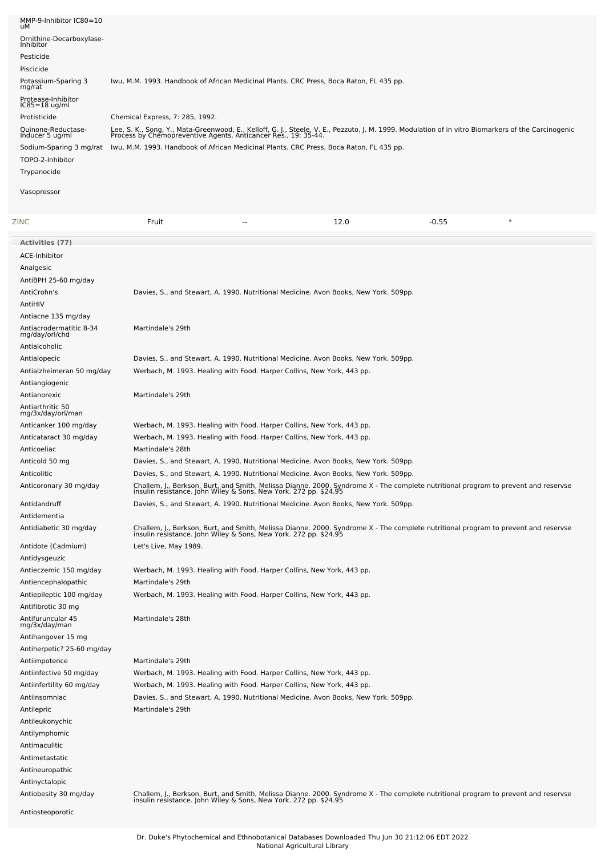| MMP-9-Inhibitor IC80=10<br>uМ             |                                                                                         |        |                                                                                                                                                                                                                       |         |        |
|-------------------------------------------|-----------------------------------------------------------------------------------------|--------|-----------------------------------------------------------------------------------------------------------------------------------------------------------------------------------------------------------------------|---------|--------|
| Ornithine-Decarboxylase-<br>Inhibitor     |                                                                                         |        |                                                                                                                                                                                                                       |         |        |
| Pesticide                                 |                                                                                         |        |                                                                                                                                                                                                                       |         |        |
| Piscicide                                 |                                                                                         |        |                                                                                                                                                                                                                       |         |        |
| Potassium-Sparing 3<br>mg/rat             |                                                                                         |        | Iwu, M.M. 1993. Handbook of African Medicinal Plants. CRC Press, Boca Raton, FL 435 pp.                                                                                                                               |         |        |
| Protease-Inhibitor<br>$IC85 = 18$ ug/ml   |                                                                                         |        |                                                                                                                                                                                                                       |         |        |
| Protisticide                              | Chemical Express, 7: 285, 1992.                                                         |        |                                                                                                                                                                                                                       |         |        |
| Quinone-Reductase-<br>Inducer 5 ug/ml     |                                                                                         |        | Lee, S. K., Song, Y., Mata-Greenwood, E., Kelloff, G. J., Steele, V. E., Pezzuto, J. M. 1999. Modulation of in vitro Biomarkers of the Carcinogenic<br>Process by Chemopreventive Agents. Anticancer Res., 19: 35-44. |         |        |
| Sodium-Sparing 3 mg/rat                   | Iwu, M.M. 1993. Handbook of African Medicinal Plants. CRC Press, Boca Raton, FL 435 pp. |        |                                                                                                                                                                                                                       |         |        |
| TOPO-2-Inhibitor                          |                                                                                         |        |                                                                                                                                                                                                                       |         |        |
| Trypanocide                               |                                                                                         |        |                                                                                                                                                                                                                       |         |        |
| Vasopressor                               |                                                                                         |        |                                                                                                                                                                                                                       |         |        |
| <b>ZINC</b>                               | Fruit                                                                                   | $\sim$ | 12.0                                                                                                                                                                                                                  | $-0.55$ | $\ast$ |
| Activities (77)                           |                                                                                         |        |                                                                                                                                                                                                                       |         |        |
| <b>ACE-Inhibitor</b>                      |                                                                                         |        |                                                                                                                                                                                                                       |         |        |
| Analgesic                                 |                                                                                         |        |                                                                                                                                                                                                                       |         |        |
| AntiBPH 25-60 mg/day                      |                                                                                         |        |                                                                                                                                                                                                                       |         |        |
| AntiCrohn's                               |                                                                                         |        | Davies, S., and Stewart, A. 1990. Nutritional Medicine. Avon Books, New York. 509pp.                                                                                                                                  |         |        |
| AntiHIV                                   |                                                                                         |        |                                                                                                                                                                                                                       |         |        |
| Antiacne 135 mg/day                       |                                                                                         |        |                                                                                                                                                                                                                       |         |        |
| Antiacrodermatitic 8-34<br>mg/day/orl/chd | Martindale's 29th                                                                       |        |                                                                                                                                                                                                                       |         |        |
| Antialcoholic                             |                                                                                         |        |                                                                                                                                                                                                                       |         |        |
| Antialopecic                              |                                                                                         |        | Davies, S., and Stewart, A. 1990. Nutritional Medicine. Avon Books, New York. 509pp.                                                                                                                                  |         |        |
| Antialzheimeran 50 mg/day                 |                                                                                         |        | Werbach, M. 1993. Healing with Food. Harper Collins, New York, 443 pp.                                                                                                                                                |         |        |
|                                           |                                                                                         |        |                                                                                                                                                                                                                       |         |        |

| Antiangiogenic                        |                                                                                                                                                                                                        |
|---------------------------------------|--------------------------------------------------------------------------------------------------------------------------------------------------------------------------------------------------------|
| Antianorexic                          | Martindale's 29th                                                                                                                                                                                      |
| Antiarthritic 50<br>mg/3x/day/orl/man |                                                                                                                                                                                                        |
| Anticanker 100 mg/day                 | Werbach, M. 1993. Healing with Food. Harper Collins, New York, 443 pp.                                                                                                                                 |
| Anticataract 30 mg/day                | Werbach, M. 1993. Healing with Food. Harper Collins, New York, 443 pp.                                                                                                                                 |
| Anticoeliac                           | Martindale's 28th                                                                                                                                                                                      |
| Anticold 50 mg                        | Davies, S., and Stewart, A. 1990. Nutritional Medicine. Avon Books, New York. 509pp.                                                                                                                   |
| Anticolitic                           | Davies, S., and Stewart, A. 1990. Nutritional Medicine. Avon Books, New York. 509pp.                                                                                                                   |
| Anticoronary 30 mg/day                | Challem, J., Berkson, Burt, and Smith, Melissa Dianne. 2000. Syndrome X - The complete nutritional program to prevent and reservse<br>insulin resistance. John Wiley & Sons, New York. 272 pp. \$24.95 |
| Antidandruff                          | Davies, S., and Stewart, A. 1990. Nutritional Medicine. Avon Books, New York. 509pp.                                                                                                                   |
| Antidementia                          |                                                                                                                                                                                                        |
| Antidiabetic 30 mg/day                | Challem, J., Berkson, Burt, and Smith, Melissa Dianne. 2000. Syndrome X - The complete nutritional program to prevent and reservse<br>insulin resistance. John Wiley & Sons, New York. 272 pp. \$24.95 |
| Antidote (Cadmium)                    | Let's Live, May 1989.                                                                                                                                                                                  |
| Antidysgeuzic                         |                                                                                                                                                                                                        |
| Antieczemic 150 mg/day                | Werbach, M. 1993. Healing with Food. Harper Collins, New York, 443 pp.                                                                                                                                 |
| Antiencephalopathic                   | Martindale's 29th                                                                                                                                                                                      |
| Antiepileptic 100 mg/day              | Werbach, M. 1993. Healing with Food. Harper Collins, New York, 443 pp.                                                                                                                                 |
| Antifibrotic 30 mg                    |                                                                                                                                                                                                        |
| Antifuruncular 45<br>mg/3x/day/man    | Martindale's 28th                                                                                                                                                                                      |
| Antihangover 15 mg                    |                                                                                                                                                                                                        |
| Antiherpetic? 25-60 mg/day            |                                                                                                                                                                                                        |
| Antiimpotence                         | Martindale's 29th                                                                                                                                                                                      |
| Antiinfective 50 mg/day               | Werbach, M. 1993. Healing with Food. Harper Collins, New York, 443 pp.                                                                                                                                 |
| Antiinfertility 60 mg/day             | Werbach, M. 1993. Healing with Food. Harper Collins, New York, 443 pp.                                                                                                                                 |
| Antiinsomniac                         | Davies, S., and Stewart, A. 1990. Nutritional Medicine. Avon Books, New York. 509pp.                                                                                                                   |
| Antilepric                            | Martindale's 29th                                                                                                                                                                                      |
| Antileukonychic                       |                                                                                                                                                                                                        |
| Antilymphomic                         |                                                                                                                                                                                                        |
| Antimaculitic                         |                                                                                                                                                                                                        |
| Antimetastatic                        |                                                                                                                                                                                                        |
| Antineuropathic                       |                                                                                                                                                                                                        |
| Antinyctalopic                        |                                                                                                                                                                                                        |
| Antiobesity 30 mg/day                 | Challem, J., Berkson, Burt, and Smith, Melissa Dianne. 2000. Syndrome X - The complete nutritional program to prevent and reservse<br>insulin resistance. John Wiley & Sons, New York. 272 pp. \$24.95 |

Antiosteoporotic